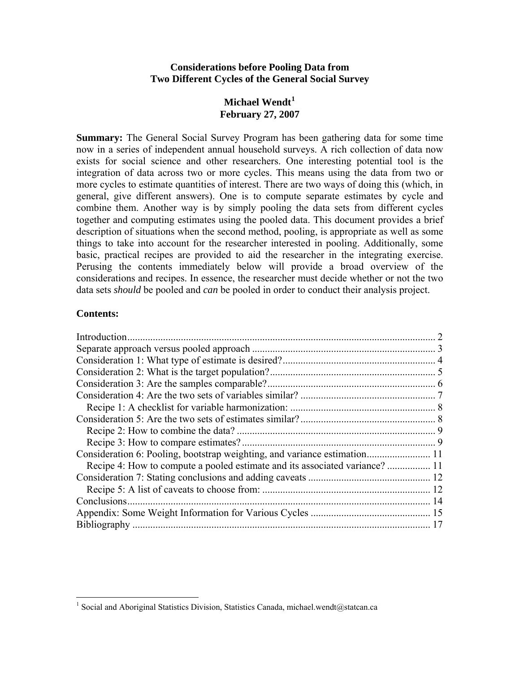#### **Considerations before Pooling Data from Two Different Cycles of the General Social Survey**

# **Michael Wendt[1](#page-0-0) February 27, 2007**

**Summary:** The General Social Survey Program has been gathering data for some time now in a series of independent annual household surveys. A rich collection of data now exists for social science and other researchers. One interesting potential tool is the integration of data across two or more cycles. This means using the data from two or more cycles to estimate quantities of interest. There are two ways of doing this (which, in general, give different answers). One is to compute separate estimates by cycle and combine them. Another way is by simply pooling the data sets from different cycles together and computing estimates using the pooled data. This document provides a brief description of situations when the second method, pooling, is appropriate as well as some things to take into account for the researcher interested in pooling. Additionally, some basic, practical recipes are provided to aid the researcher in the integrating exercise. Perusing the contents immediately below will provide a broad overview of the considerations and recipes. In essence, the researcher must decide whether or not the two data sets *should* be pooled and *can* be pooled in order to conduct their analysis project.

### **Contents:**

| Introduction                                                                |  |
|-----------------------------------------------------------------------------|--|
|                                                                             |  |
|                                                                             |  |
|                                                                             |  |
|                                                                             |  |
|                                                                             |  |
|                                                                             |  |
|                                                                             |  |
|                                                                             |  |
|                                                                             |  |
| Consideration 6: Pooling, bootstrap weighting, and variance estimation 11   |  |
| Recipe 4: How to compute a pooled estimate and its associated variance?  11 |  |
|                                                                             |  |
|                                                                             |  |
|                                                                             |  |
|                                                                             |  |
|                                                                             |  |

<span id="page-0-0"></span><sup>&</sup>lt;sup>1</sup> Social and Aboriginal Statistics Division, Statistics Canada, michael.wendt@statcan.ca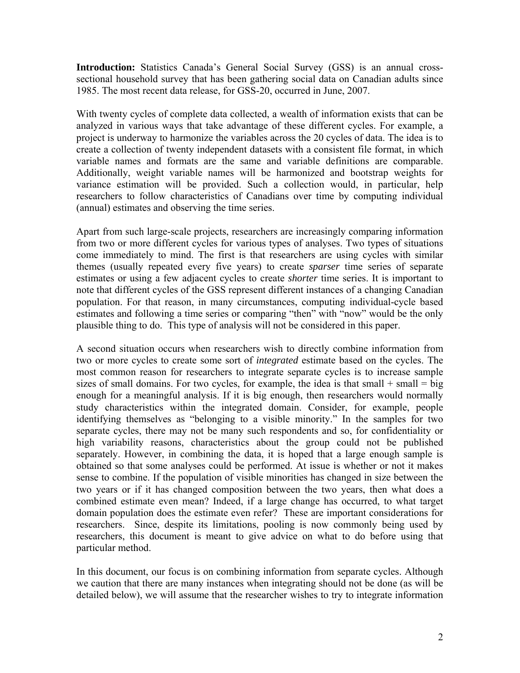<span id="page-1-0"></span>**Introduction:** Statistics Canada's General Social Survey (GSS) is an annual crosssectional household survey that has been gathering social data on Canadian adults since 1985. The most recent data release, for GSS-20, occurred in June, 2007.

With twenty cycles of complete data collected, a wealth of information exists that can be analyzed in various ways that take advantage of these different cycles. For example, a project is underway to harmonize the variables across the 20 cycles of data. The idea is to create a collection of twenty independent datasets with a consistent file format, in which variable names and formats are the same and variable definitions are comparable. Additionally, weight variable names will be harmonized and bootstrap weights for variance estimation will be provided. Such a collection would, in particular, help researchers to follow characteristics of Canadians over time by computing individual (annual) estimates and observing the time series.

Apart from such large-scale projects, researchers are increasingly comparing information from two or more different cycles for various types of analyses. Two types of situations come immediately to mind. The first is that researchers are using cycles with similar themes (usually repeated every five years) to create *sparser* time series of separate estimates or using a few adjacent cycles to create *shorter* time series. It is important to note that different cycles of the GSS represent different instances of a changing Canadian population. For that reason, in many circumstances, computing individual-cycle based estimates and following a time series or comparing "then" with "now" would be the only plausible thing to do. This type of analysis will not be considered in this paper.

A second situation occurs when researchers wish to directly combine information from two or more cycles to create some sort of *integrated* estimate based on the cycles. The most common reason for researchers to integrate separate cycles is to increase sample sizes of small domains. For two cycles, for example, the idea is that small  $+$  small  $=$  big enough for a meaningful analysis. If it is big enough, then researchers would normally study characteristics within the integrated domain. Consider, for example, people identifying themselves as "belonging to a visible minority." In the samples for two separate cycles, there may not be many such respondents and so, for confidentiality or high variability reasons, characteristics about the group could not be published separately. However, in combining the data, it is hoped that a large enough sample is obtained so that some analyses could be performed. At issue is whether or not it makes sense to combine. If the population of visible minorities has changed in size between the two years or if it has changed composition between the two years, then what does a combined estimate even mean? Indeed, if a large change has occurred, to what target domain population does the estimate even refer? These are important considerations for researchers. Since, despite its limitations, pooling is now commonly being used by researchers, this document is meant to give advice on what to do before using that particular method.

In this document, our focus is on combining information from separate cycles. Although we caution that there are many instances when integrating should not be done (as will be detailed below), we will assume that the researcher wishes to try to integrate information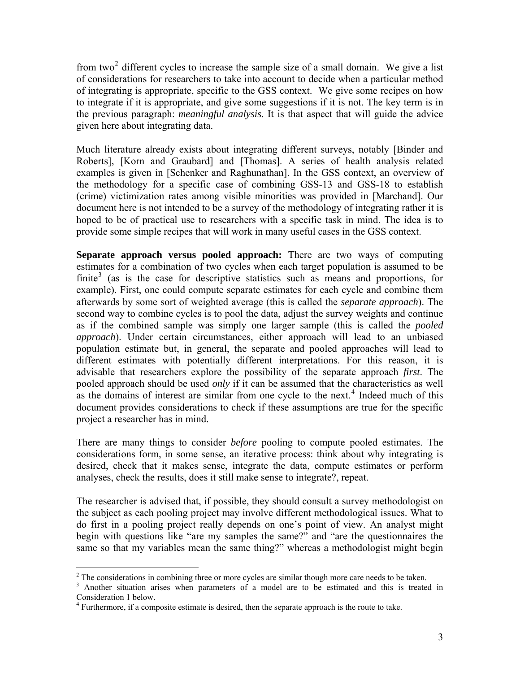<span id="page-2-0"></span>from two<sup>[2](#page-2-1)</sup> different cycles to increase the sample size of a small domain. We give a list of considerations for researchers to take into account to decide when a particular method of integrating is appropriate, specific to the GSS context. We give some recipes on how to integrate if it is appropriate, and give some suggestions if it is not. The key term is in the previous paragraph: *meaningful analysis*. It is that aspect that will guide the advice given here about integrating data.

Much literature already exists about integrating different surveys, notably [Binder and Roberts], [Korn and Graubard] and [Thomas]. A series of health analysis related examples is given in [Schenker and Raghunathan]. In the GSS context, an overview of the methodology for a specific case of combining GSS-13 and GSS-18 to establish (crime) victimization rates among visible minorities was provided in [Marchand]. Our document here is not intended to be a survey of the methodology of integrating rather it is hoped to be of practical use to researchers with a specific task in mind. The idea is to provide some simple recipes that will work in many useful cases in the GSS context.

**Separate approach versus pooled approach:** There are two ways of computing estimates for a combination of two cycles when each target population is assumed to be finite<sup>[3](#page-2-2)</sup> (as is the case for descriptive statistics such as means and proportions, for example). First, one could compute separate estimates for each cycle and combine them afterwards by some sort of weighted average (this is called the *separate approach*). The second way to combine cycles is to pool the data, adjust the survey weights and continue as if the combined sample was simply one larger sample (this is called the *pooled approach*). Under certain circumstances, either approach will lead to an unbiased population estimate but, in general, the separate and pooled approaches will lead to different estimates with potentially different interpretations. For this reason, it is advisable that researchers explore the possibility of the separate approach *first*. The pooled approach should be used *only* if it can be assumed that the characteristics as well as the domains of interest are similar from one cycle to the next.<sup>[4](#page-2-3)</sup> Indeed much of this document provides considerations to check if these assumptions are true for the specific project a researcher has in mind.

There are many things to consider *before* pooling to compute pooled estimates. The considerations form, in some sense, an iterative process: think about why integrating is desired, check that it makes sense, integrate the data, compute estimates or perform analyses, check the results, does it still make sense to integrate?, repeat.

The researcher is advised that, if possible, they should consult a survey methodologist on the subject as each pooling project may involve different methodological issues. What to do first in a pooling project really depends on one's point of view. An analyst might begin with questions like "are my samples the same?" and "are the questionnaires the same so that my variables mean the same thing?" whereas a methodologist might begin

<sup>&</sup>lt;sup>2</sup><br><sup>2</sup> The considerations in combining three or more cycles are similar though more care needs to be taken.

<span id="page-2-2"></span><span id="page-2-1"></span><sup>&</sup>lt;sup>3</sup> Another situation arises when parameters of a model are to be estimated and this is treated in Consideration 1 below.

<span id="page-2-3"></span> $4$  Furthermore, if a composite estimate is desired, then the separate approach is the route to take.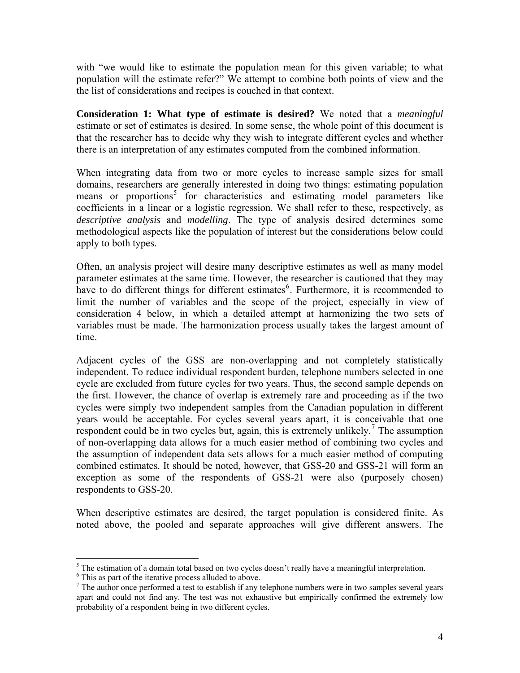<span id="page-3-0"></span>with "we would like to estimate the population mean for this given variable; to what population will the estimate refer?" We attempt to combine both points of view and the the list of considerations and recipes is couched in that context.

**Consideration 1: What type of estimate is desired?** We noted that a *meaningful* estimate or set of estimates is desired. In some sense, the whole point of this document is that the researcher has to decide why they wish to integrate different cycles and whether there is an interpretation of any estimates computed from the combined information.

When integrating data from two or more cycles to increase sample sizes for small domains, researchers are generally interested in doing two things: estimating population means or proportions<sup>[5](#page-3-1)</sup> for characteristics and estimating model parameters like coefficients in a linear or a logistic regression. We shall refer to these, respectively, as *descriptive analysis* and *modelling*. The type of analysis desired determines some methodological aspects like the population of interest but the considerations below could apply to both types.

Often, an analysis project will desire many descriptive estimates as well as many model parameter estimates at the same time. However, the researcher is cautioned that they may have to do different things for different estimates<sup>[6](#page-3-2)</sup>. Furthermore, it is recommended to limit the number of variables and the scope of the project, especially in view of consideration 4 below, in which a detailed attempt at harmonizing the two sets of variables must be made. The harmonization process usually takes the largest amount of time.

Adjacent cycles of the GSS are non-overlapping and not completely statistically independent. To reduce individual respondent burden, telephone numbers selected in one cycle are excluded from future cycles for two years. Thus, the second sample depends on the first. However, the chance of overlap is extremely rare and proceeding as if the two cycles were simply two independent samples from the Canadian population in different years would be acceptable. For cycles several years apart, it is conceivable that one respondent could be in two cycles but, again, this is extremely unlikely.<sup>[7](#page-3-3)</sup> The assumption of non-overlapping data allows for a much easier method of combining two cycles and the assumption of independent data sets allows for a much easier method of computing combined estimates. It should be noted, however, that GSS-20 and GSS-21 will form an exception as some of the respondents of GSS-21 were also (purposely chosen) respondents to GSS-20.

When descriptive estimates are desired, the target population is considered finite. As noted above, the pooled and separate approaches will give different answers. The

<sup>&</sup>lt;sup>5</sup> The estimation of a domain total based on two cycles doesn't really have a meaningful interpretation.

<span id="page-3-2"></span><span id="page-3-1"></span><sup>&</sup>lt;sup>6</sup> This as part of the iterative process alluded to above.

<span id="page-3-3"></span> $<sup>7</sup>$  The author once performed a test to establish if any telephone numbers were in two samples several years</sup> apart and could not find any. The test was not exhaustive but empirically confirmed the extremely low probability of a respondent being in two different cycles.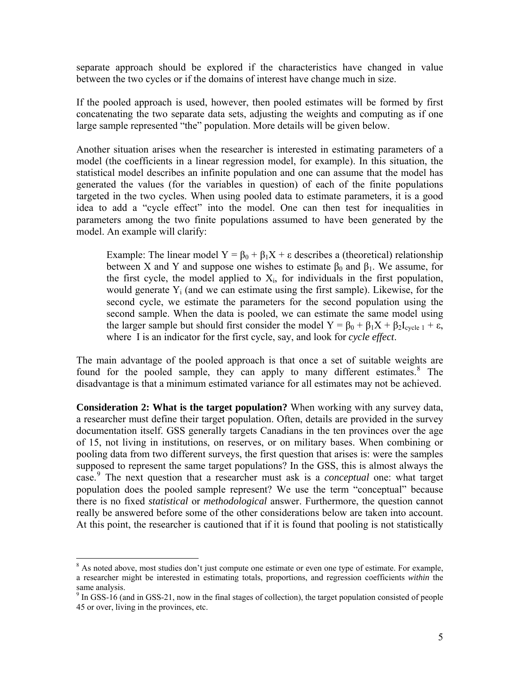<span id="page-4-0"></span>separate approach should be explored if the characteristics have changed in value between the two cycles or if the domains of interest have change much in size.

If the pooled approach is used, however, then pooled estimates will be formed by first concatenating the two separate data sets, adjusting the weights and computing as if one large sample represented "the" population. More details will be given below.

Another situation arises when the researcher is interested in estimating parameters of a model (the coefficients in a linear regression model, for example). In this situation, the statistical model describes an infinite population and one can assume that the model has generated the values (for the variables in question) of each of the finite populations targeted in the two cycles. When using pooled data to estimate parameters, it is a good idea to add a "cycle effect" into the model. One can then test for inequalities in parameters among the two finite populations assumed to have been generated by the model. An example will clarify:

Example: The linear model  $Y = \beta_0 + \beta_1 X + \varepsilon$  describes a (theoretical) relationship between X and Y and suppose one wishes to estimate  $\beta_0$  and  $\beta_1$ . We assume, for the first cycle, the model applied to  $X_i$ , for individuals in the first population, would generate  $Y_i$  (and we can estimate using the first sample). Likewise, for the second cycle, we estimate the parameters for the second population using the second sample. When the data is pooled, we can estimate the same model using the larger sample but should first consider the model  $Y = \beta_0 + \beta_1 X + \beta_2 I_{cycle 1} + \varepsilon$ , where I is an indicator for the first cycle, say, and look for *cycle effect*.

The main advantage of the pooled approach is that once a set of suitable weights are found for the pooled sample, they can apply to many different estimates.<sup>[8](#page-4-1)</sup> The disadvantage is that a minimum estimated variance for all estimates may not be achieved.

**Consideration 2: What is the target population?** When working with any survey data, a researcher must define their target population. Often, details are provided in the survey documentation itself. GSS generally targets Canadians in the ten provinces over the age of 15, not living in institutions, on reserves, or on military bases. When combining or pooling data from two different surveys, the first question that arises is: were the samples supposed to represent the same target populations? In the GSS, this is almost always the case.[9](#page-4-2) The next question that a researcher must ask is a *conceptual* one: what target population does the pooled sample represent? We use the term "conceptual" because there is no fixed *statistical* or *methodological* answer. Furthermore, the question cannot really be answered before some of the other considerations below are taken into account. At this point, the researcher is cautioned that if it is found that pooling is not statistically

<span id="page-4-1"></span><sup>&</sup>lt;sup>8</sup> As noted above, most studies don't just compute one estimate or even one type of estimate. For example, a researcher might be interested in estimating totals, proportions, and regression coefficients *within* the same analysis.

<span id="page-4-2"></span><sup>&</sup>lt;sup>9</sup> In GSS-16 (and in GSS-21, now in the final stages of collection), the target population consisted of people 45 or over, living in the provinces, etc.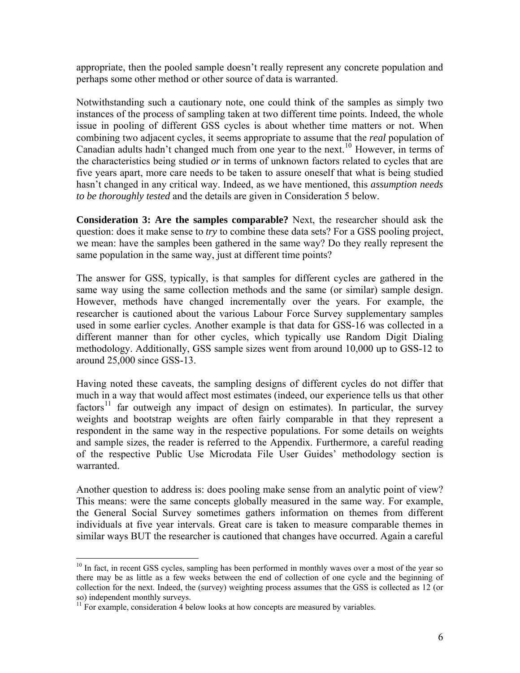<span id="page-5-0"></span>appropriate, then the pooled sample doesn't really represent any concrete population and perhaps some other method or other source of data is warranted.

Notwithstanding such a cautionary note, one could think of the samples as simply two instances of the process of sampling taken at two different time points. Indeed, the whole issue in pooling of different GSS cycles is about whether time matters or not. When combining two adjacent cycles, it seems appropriate to assume that the *real* population of Canadian adults hadn't changed much from one year to the next.<sup>[10](#page-5-1)</sup> However, in terms of the characteristics being studied *or* in terms of unknown factors related to cycles that are five years apart, more care needs to be taken to assure oneself that what is being studied hasn't changed in any critical way. Indeed, as we have mentioned, this *assumption needs to be thoroughly tested* and the details are given in Consideration 5 below.

**Consideration 3: Are the samples comparable?** Next, the researcher should ask the question: does it make sense to *try* to combine these data sets? For a GSS pooling project, we mean: have the samples been gathered in the same way? Do they really represent the same population in the same way, just at different time points?

The answer for GSS, typically, is that samples for different cycles are gathered in the same way using the same collection methods and the same (or similar) sample design. However, methods have changed incrementally over the years. For example, the researcher is cautioned about the various Labour Force Survey supplementary samples used in some earlier cycles. Another example is that data for GSS-16 was collected in a different manner than for other cycles, which typically use Random Digit Dialing methodology. Additionally, GSS sample sizes went from around 10,000 up to GSS-12 to around 25,000 since GSS-13.

Having noted these caveats, the sampling designs of different cycles do not differ that much in a way that would affect most estimates (indeed, our experience tells us that other factors<sup>[11](#page-5-2)</sup> far outweigh any impact of design on estimates). In particular, the survey weights and bootstrap weights are often fairly comparable in that they represent a respondent in the same way in the respective populations. For some details on weights and sample sizes, the reader is referred to the Appendix. Furthermore, a careful reading of the respective Public Use Microdata File User Guides' methodology section is warranted.

Another question to address is: does pooling make sense from an analytic point of view? This means: were the same concepts globally measured in the same way. For example, the General Social Survey sometimes gathers information on themes from different individuals at five year intervals. Great care is taken to measure comparable themes in similar ways BUT the researcher is cautioned that changes have occurred. Again a careful

<span id="page-5-1"></span><sup>&</sup>lt;sup>10</sup> In fact, in recent GSS cycles, sampling has been performed in monthly waves over a most of the year so there may be as little as a few weeks between the end of collection of one cycle and the beginning of collection for the next. Indeed, the (survey) weighting process assumes that the GSS is collected as 12 (or so) independent monthly surveys.

<span id="page-5-2"></span> $11$  For example, consideration 4 below looks at how concepts are measured by variables.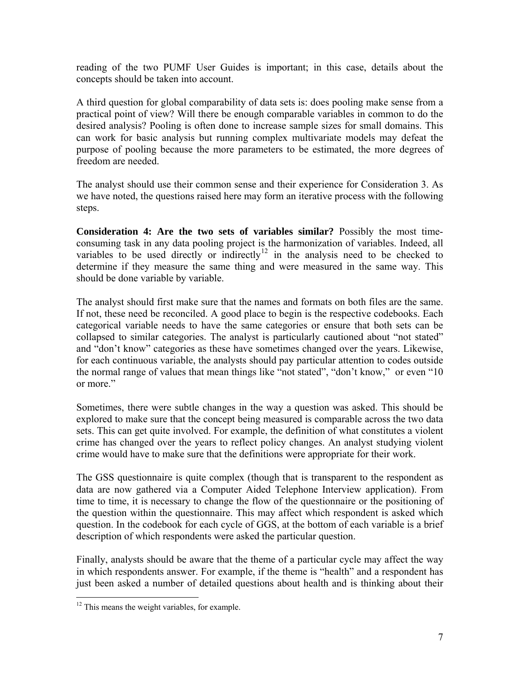<span id="page-6-0"></span>reading of the two PUMF User Guides is important; in this case, details about the concepts should be taken into account.

A third question for global comparability of data sets is: does pooling make sense from a practical point of view? Will there be enough comparable variables in common to do the desired analysis? Pooling is often done to increase sample sizes for small domains. This can work for basic analysis but running complex multivariate models may defeat the purpose of pooling because the more parameters to be estimated, the more degrees of freedom are needed.

The analyst should use their common sense and their experience for Consideration 3. As we have noted, the questions raised here may form an iterative process with the following steps.

**Consideration 4: Are the two sets of variables similar?** Possibly the most timeconsuming task in any data pooling project is the harmonization of variables. Indeed, all variables to be used directly or indirectly<sup>[12](#page-6-1)</sup> in the analysis need to be checked to determine if they measure the same thing and were measured in the same way. This should be done variable by variable.

The analyst should first make sure that the names and formats on both files are the same. If not, these need be reconciled. A good place to begin is the respective codebooks. Each categorical variable needs to have the same categories or ensure that both sets can be collapsed to similar categories. The analyst is particularly cautioned about "not stated" and "don't know" categories as these have sometimes changed over the years. Likewise, for each continuous variable, the analysts should pay particular attention to codes outside the normal range of values that mean things like "not stated", "don't know," or even "10 or more."

Sometimes, there were subtle changes in the way a question was asked. This should be explored to make sure that the concept being measured is comparable across the two data sets. This can get quite involved. For example, the definition of what constitutes a violent crime has changed over the years to reflect policy changes. An analyst studying violent crime would have to make sure that the definitions were appropriate for their work.

The GSS questionnaire is quite complex (though that is transparent to the respondent as data are now gathered via a Computer Aided Telephone Interview application). From time to time, it is necessary to change the flow of the questionnaire or the positioning of the question within the questionnaire. This may affect which respondent is asked which question. In the codebook for each cycle of GGS, at the bottom of each variable is a brief description of which respondents were asked the particular question.

Finally, analysts should be aware that the theme of a particular cycle may affect the way in which respondents answer. For example, if the theme is "health" and a respondent has just been asked a number of detailed questions about health and is thinking about their

<span id="page-6-1"></span><sup>&</sup>lt;sup>12</sup> This means the weight variables, for example.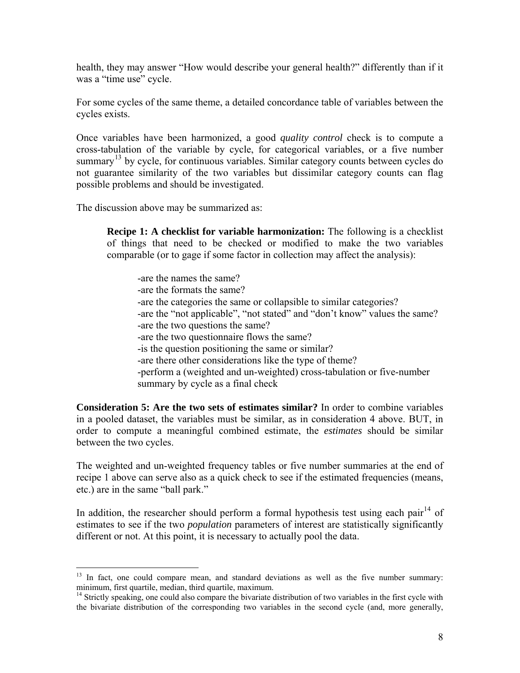<span id="page-7-0"></span>health, they may answer "How would describe your general health?" differently than if it was a "time use" cycle.

For some cycles of the same theme, a detailed concordance table of variables between the cycles exists.

Once variables have been harmonized, a good *quality control* check is to compute a cross-tabulation of the variable by cycle, for categorical variables, or a five number summary<sup>[13](#page-7-1)</sup> by cycle, for continuous variables. Similar category counts between cycles do not guarantee similarity of the two variables but dissimilar category counts can flag possible problems and should be investigated.

The discussion above may be summarized as:

 $\overline{a}$ 

**Recipe 1: A checklist for variable harmonization:** The following is a checklist of things that need to be checked or modified to make the two variables comparable (or to gage if some factor in collection may affect the analysis):

 -are the names the same? -are the formats the same? -are the categories the same or collapsible to similar categories? -are the "not applicable", "not stated" and "don't know" values the same? -are the two questions the same? -are the two questionnaire flows the same? -is the question positioning the same or similar? -are there other considerations like the type of theme? -perform a (weighted and un-weighted) cross-tabulation or five-number summary by cycle as a final check

**Consideration 5: Are the two sets of estimates similar?** In order to combine variables in a pooled dataset, the variables must be similar, as in consideration 4 above. BUT, in order to compute a meaningful combined estimate, the *estimates* should be similar between the two cycles.

The weighted and un-weighted frequency tables or five number summaries at the end of recipe 1 above can serve also as a quick check to see if the estimated frequencies (means, etc.) are in the same "ball park."

In addition, the researcher should perform a formal hypothesis test using each pair<sup>[14](#page-7-2)</sup> of estimates to see if the two *population* parameters of interest are statistically significantly different or not. At this point, it is necessary to actually pool the data.

<span id="page-7-1"></span> $13$  In fact, one could compare mean, and standard deviations as well as the five number summary: minimum, first quartile, median, third quartile, maximum.

<span id="page-7-2"></span><sup>&</sup>lt;sup>14</sup> Strictly speaking, one could also compare the bivariate distribution of two variables in the first cycle with the bivariate distribution of the corresponding two variables in the second cycle (and, more generally,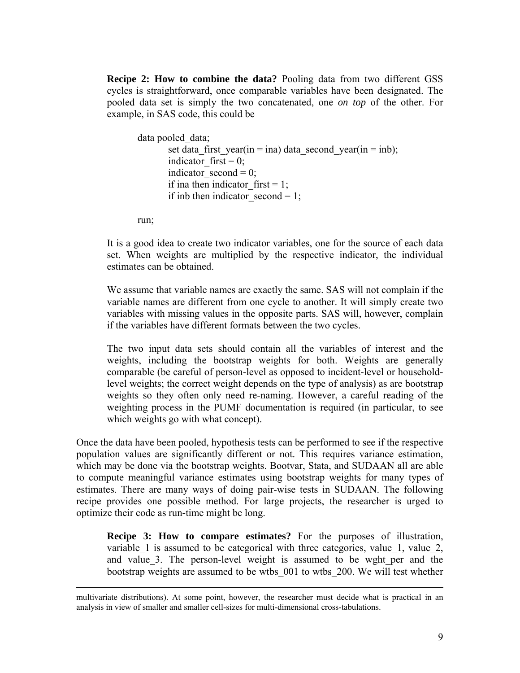<span id="page-8-0"></span>**Recipe 2: How to combine the data?** Pooling data from two different GSS cycles is straightforward, once comparable variables have been designated. The pooled data set is simply the two concatenated, one *on top* of the other. For example, in SAS code, this could be

```
data pooled data;
       set data first year(in = ina) data second year(in = inb);
       indicator first = 0;
       indicator second = 0;
       if ina then indicator first = 1;
       if inb then indicator second = 1;
```
run;

It is a good idea to create two indicator variables, one for the source of each data set. When weights are multiplied by the respective indicator, the individual estimates can be obtained.

We assume that variable names are exactly the same. SAS will not complain if the variable names are different from one cycle to another. It will simply create two variables with missing values in the opposite parts. SAS will, however, complain if the variables have different formats between the two cycles.

The two input data sets should contain all the variables of interest and the weights, including the bootstrap weights for both. Weights are generally comparable (be careful of person-level as opposed to incident-level or householdlevel weights; the correct weight depends on the type of analysis) as are bootstrap weights so they often only need re-naming. However, a careful reading of the weighting process in the PUMF documentation is required (in particular, to see which weights go with what concept).

Once the data have been pooled, hypothesis tests can be performed to see if the respective population values are significantly different or not. This requires variance estimation, which may be done via the bootstrap weights. Bootvar, Stata, and SUDAAN all are able to compute meaningful variance estimates using bootstrap weights for many types of estimates. There are many ways of doing pair-wise tests in SUDAAN. The following recipe provides one possible method. For large projects, the researcher is urged to optimize their code as run-time might be long.

**Recipe 3: How to compare estimates?** For the purposes of illustration, variable  $1$  is assumed to be categorical with three categories, value  $1$ , value  $2$ , and value 3. The person-level weight is assumed to be wght per and the bootstrap weights are assumed to be wtbs\_001 to wtbs\_200. We will test whether

multivariate distributions). At some point, however, the researcher must decide what is practical in an analysis in view of smaller and smaller cell-sizes for multi-dimensional cross-tabulations.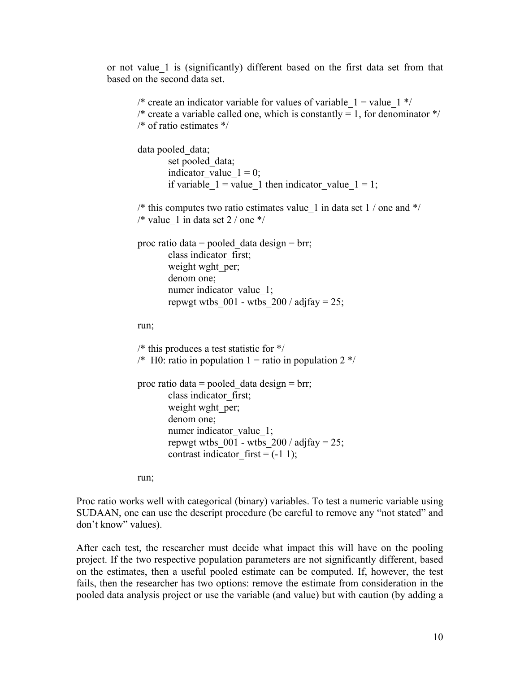or not value\_1 is (significantly) different based on the first data set from that based on the second data set.

```
/* create an indicator variable for values of variable 1 = value 1 */
/* create a variable called one, which is constantly = 1, for denominator *//* of ratio estimates */ 
data pooled data;
        set pooled data;
        indicator value 1 = 0;
        if variable 1 = value 1 then indicator value 1 = 1;
/* this computes two ratio estimates value 1 in data set 1 / one and \frac{*}{ }/* value 1 in data set 2 / one */
proc ratio data = pooled data design = brr;
        class indicator_first; 
        weight wght per;
         denom one; 
        numer indicator value 1;
        repwgt wtbs 001 - wtbs 200 / \text{adjfay} = 25;
run; 
/* this produces a test statistic for */ 
/* H0: ratio in population 1 = ratio in population 2 */proc ratio data = pooled data design = brr;
         class indicator_first; 
       weight wght per;
        denom one; 
        numer indicator value 1;
        repwgt wtbs 001 - wtbs 200 / adjfay = 25;
        contrast indicator first = (-1 1);run;
```
Proc ratio works well with categorical (binary) variables. To test a numeric variable using SUDAAN, one can use the descript procedure (be careful to remove any "not stated" and don't know" values).

After each test, the researcher must decide what impact this will have on the pooling project. If the two respective population parameters are not significantly different, based on the estimates, then a useful pooled estimate can be computed. If, however, the test fails, then the researcher has two options: remove the estimate from consideration in the pooled data analysis project or use the variable (and value) but with caution (by adding a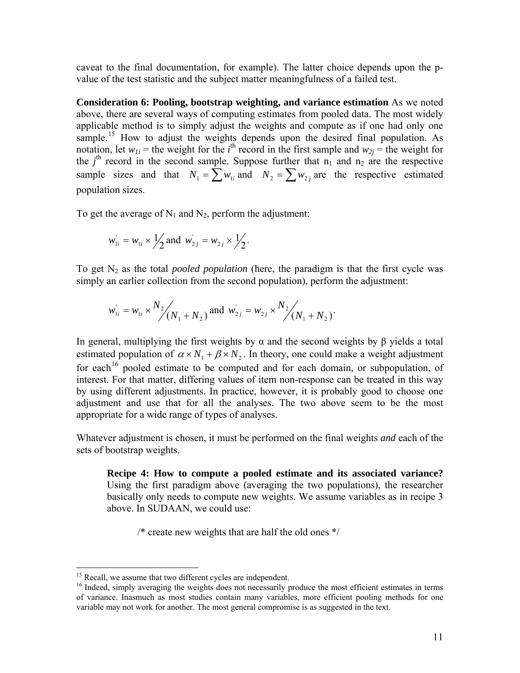<span id="page-10-0"></span>caveat to the final documentation, for example). The latter choice depends upon the pvalue of the test statistic and the subject matter meaningfulness of a failed test.

**Consideration 6: Pooling, bootstrap weighting, and variance estimation** As we noted above, there are several ways of computing estimates from pooled data. The most widely applicable method is to simply adjust the weights and compute as if one had only one sample.<sup>[15](#page-10-1)</sup> How to adjust the weights depends upon the desired final population. As notation, let  $w_{1i}$  = the weight for the *i*<sup>th</sup> record in the first sample and  $w_{2j}$  = the weight for the  $j<sup>th</sup>$  record in the second sample. Suppose further that  $n_1$  and  $n_2$  are the respective sample sizes and that  $N_1 = \sum w_{1i}$  and  $N_2 = \sum w_{2i}$  are the respective estimated population sizes.

To get the average of  $N_1$  and  $N_2$ , perform the adjustment:

$$
w_{1i} = w_{1i} \times \frac{1}{2}
$$
 and  $w_{2j} = w_{2j} \times \frac{1}{2}$ .

To get N2 as the total *pooled population* (here, the paradigm is that the first cycle was simply an earlier collection from the second population), perform the adjustment:

$$
w_{1i} = w_{1i} \times \frac{N_2}{N_1 + N_2}
$$
 and  $w_{2i} = w_{2i} \times \frac{N_2}{N_1 + N_2}$ .

In general, multiplying the first weights by  $\alpha$  and the second weights by  $\beta$  yields a total estimated population of  $\alpha \times N_1 + \beta \times N_2$ . In theory, one could make a weight adjustment for each<sup>[16](#page-10-2)</sup> pooled estimate to be computed and for each domain, or subpopulation, of interest. For that matter, differing values of item non-response can be treated in this way by using different adjustments. In practice, however, it is probably good to choose one adjustment and use that for all the analyses. The two above seem to be the most appropriate for a wide range of types of analyses.

Whatever adjustment is chosen, it must be performed on the final weights *and* each of the sets of bootstrap weights.

**Recipe 4: How to compute a pooled estimate and its associated variance?** Using the first paradigm above (averaging the two populations), the researcher basically only needs to compute new weights. We assume variables as in recipe 3 above. In SUDAAN, we could use:

/\* create new weights that are half the old ones \*/

<span id="page-10-1"></span><sup>&</sup>lt;sup>15</sup> Recall, we assume that two different cycles are independent.

<span id="page-10-2"></span><sup>&</sup>lt;sup>16</sup> Indeed, simply averaging the weights does not necessarily produce the most efficient estimates in terms of variance. Inasmuch as most studies contain many variables, more efficient pooling methods for one variable may not work for another. The most general compromise is as suggested in the text.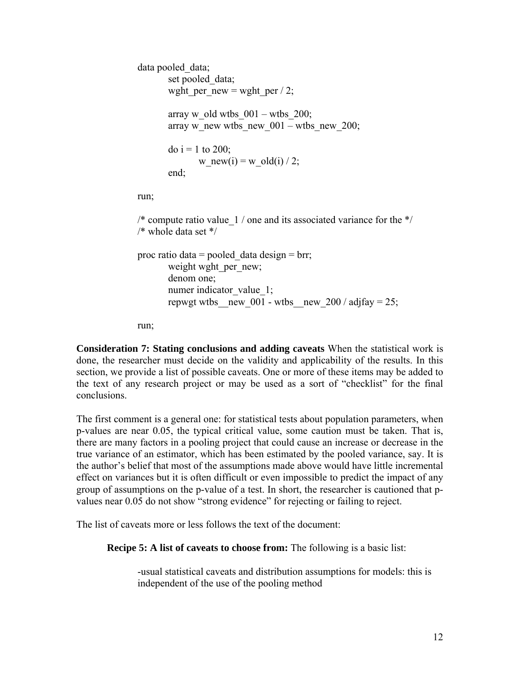```
 data pooled_data; 
       set pooled data;
       wght per new = wght per / 2;
       array w_old wtbs 001 - \text{wtbs} 200;
       array w_new wtbs_new_001 – wtbs_new_200;
       do i = 1 to 200;
              w_new(i) = w_old(i) / 2;
        end; 
 run;
```
/\* compute ratio value  $1/$  one and its associated variance for the  $*/$ /\* whole data set \*/

proc ratio data = pooled data design = brr; weight wght per new; denom one; numer indicator value 1; repwgt wtbs new 001 - wtbs new 200 / adjfay = 25;

run;

**Consideration 7: Stating conclusions and adding caveats** When the statistical work is done, the researcher must decide on the validity and applicability of the results. In this section, we provide a list of possible caveats. One or more of these items may be added to the text of any research project or may be used as a sort of "checklist" for the final conclusions.

The first comment is a general one: for statistical tests about population parameters, when p-values are near 0.05, the typical critical value, some caution must be taken. That is, there are many factors in a pooling project that could cause an increase or decrease in the true variance of an estimator, which has been estimated by the pooled variance, say. It is the author's belief that most of the assumptions made above would have little incremental effect on variances but it is often difficult or even impossible to predict the impact of any group of assumptions on the p-value of a test. In short, the researcher is cautioned that pvalues near 0.05 do not show "strong evidence" for rejecting or failing to reject.

The list of caveats more or less follows the text of the document:

**Recipe 5: A list of caveats to choose from:** The following is a basic list:

 -usual statistical caveats and distribution assumptions for models: this is independent of the use of the pooling method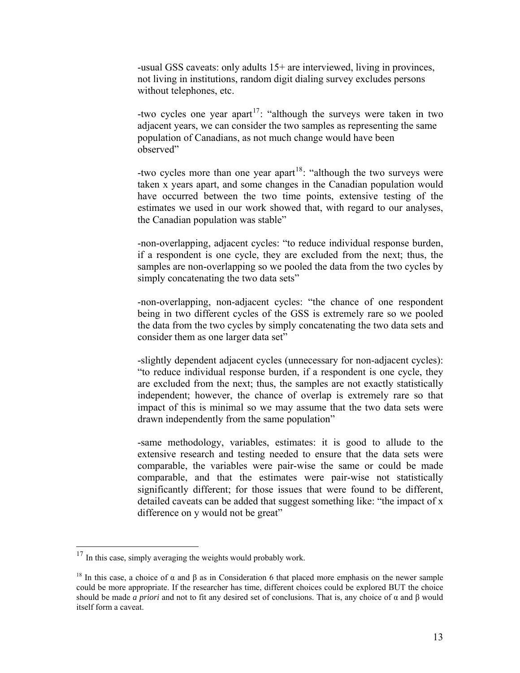-usual GSS caveats: only adults 15+ are interviewed, living in provinces, not living in institutions, random digit dialing survey excludes persons without telephones, etc.

-two cycles one year apart<sup>[17](#page-12-0)</sup>: "although the surveys were taken in two adjacent years, we can consider the two samples as representing the same population of Canadians, as not much change would have been observed"

-two cycles more than one year apart<sup>[18](#page-12-1)</sup>: "although the two surveys were taken x years apart, and some changes in the Canadian population would have occurred between the two time points, extensive testing of the estimates we used in our work showed that, with regard to our analyses, the Canadian population was stable"

-non-overlapping, adjacent cycles: "to reduce individual response burden, if a respondent is one cycle, they are excluded from the next; thus, the samples are non-overlapping so we pooled the data from the two cycles by simply concatenating the two data sets"

-non-overlapping, non-adjacent cycles: "the chance of one respondent being in two different cycles of the GSS is extremely rare so we pooled the data from the two cycles by simply concatenating the two data sets and consider them as one larger data set"

-slightly dependent adjacent cycles (unnecessary for non-adjacent cycles): "to reduce individual response burden, if a respondent is one cycle, they are excluded from the next; thus, the samples are not exactly statistically independent; however, the chance of overlap is extremely rare so that impact of this is minimal so we may assume that the two data sets were drawn independently from the same population"

-same methodology, variables, estimates: it is good to allude to the extensive research and testing needed to ensure that the data sets were comparable, the variables were pair-wise the same or could be made comparable, and that the estimates were pair-wise not statistically significantly different; for those issues that were found to be different, detailed caveats can be added that suggest something like: "the impact of x difference on y would not be great"

<span id="page-12-0"></span><sup>&</sup>lt;sup>17</sup> In this case, simply averaging the weights would probably work.

<span id="page-12-1"></span><sup>&</sup>lt;sup>18</sup> In this case, a choice of  $\alpha$  and  $\beta$  as in Consideration 6 that placed more emphasis on the newer sample could be more appropriate. If the researcher has time, different choices could be explored BUT the choice should be made *a priori* and not to fit any desired set of conclusions. That is, any choice of  $\alpha$  and  $\beta$  would itself form a caveat.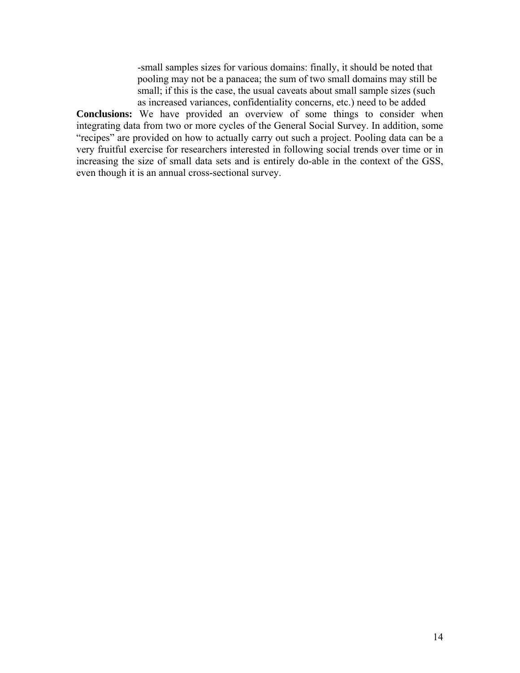-small samples sizes for various domains: finally, it should be noted that pooling may not be a panacea; the sum of two small domains may still be small; if this is the case, the usual caveats about small sample sizes (such as increased variances, confidentiality concerns, etc.) need to be added

<span id="page-13-0"></span>**Conclusions:** We have provided an overview of some things to consider when integrating data from two or more cycles of the General Social Survey. In addition, some "recipes" are provided on how to actually carry out such a project. Pooling data can be a very fruitful exercise for researchers interested in following social trends over time or in increasing the size of small data sets and is entirely do-able in the context of the GSS, even though it is an annual cross-sectional survey.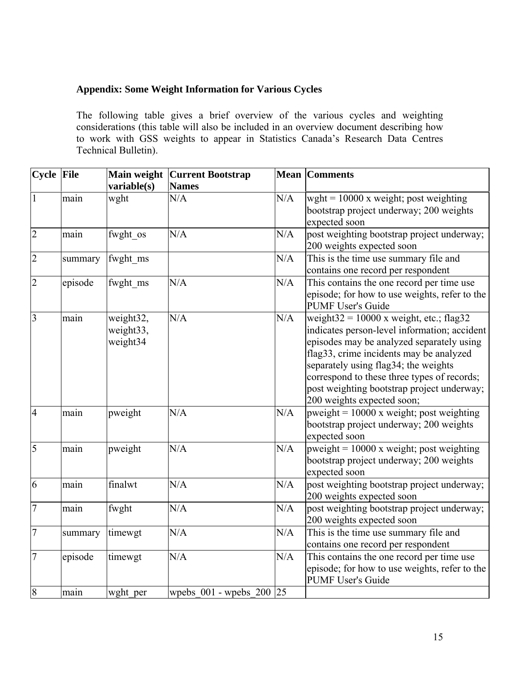# <span id="page-14-0"></span>**Appendix: Some Weight Information for Various Cycles**

The following table gives a brief overview of the various cycles and weighting considerations (this table will also be included in an overview document describing how to work with GSS weights to appear in Statistics Canada's Research Data Centres Technical Bulletin).

| Cycle File     |         | Main weight                        | <b>Current Bootstrap</b>     |     | <b>Mean Comments</b>                                                                                                                                                                                                                                                                                                                                  |
|----------------|---------|------------------------------------|------------------------------|-----|-------------------------------------------------------------------------------------------------------------------------------------------------------------------------------------------------------------------------------------------------------------------------------------------------------------------------------------------------------|
|                |         | variable(s)                        | <b>Names</b>                 |     |                                                                                                                                                                                                                                                                                                                                                       |
| $\mathbf{1}$   | main    | wght                               | N/A                          | N/A | wght = $10000$ x weight; post weighting<br>bootstrap project underway; 200 weights<br>expected soon                                                                                                                                                                                                                                                   |
| $\overline{2}$ | main    | fwght os                           | N/A                          | N/A | post weighting bootstrap project underway;<br>200 weights expected soon                                                                                                                                                                                                                                                                               |
| $\overline{2}$ | summary | fwght ms                           |                              | N/A | This is the time use summary file and<br>contains one record per respondent                                                                                                                                                                                                                                                                           |
| $\overline{2}$ | episode | fwght_ms                           | N/A                          | N/A | This contains the one record per time use<br>episode; for how to use weights, refer to the<br><b>PUMF User's Guide</b>                                                                                                                                                                                                                                |
| $\overline{3}$ | main    | weight32,<br>weight33,<br>weight34 | N/A                          | N/A | weight $32 = 10000$ x weight, etc.; flag32<br>indicates person-level information; accident<br>episodes may be analyzed separately using<br>flag33, crime incidents may be analyzed<br>separately using flag34; the weights<br>correspond to these three types of records;<br>post weighting bootstrap project underway;<br>200 weights expected soon; |
| $\overline{4}$ | main    | pweight                            | N/A                          | N/A | pweight = $10000$ x weight; post weighting<br>bootstrap project underway; 200 weights<br>expected soon                                                                                                                                                                                                                                                |
| 5              | main    | pweight                            | N/A                          | N/A | pweight = $10000$ x weight; post weighting<br>bootstrap project underway; 200 weights<br>expected soon                                                                                                                                                                                                                                                |
| 6              | main    | finalwt                            | N/A                          | N/A | post weighting bootstrap project underway;<br>200 weights expected soon                                                                                                                                                                                                                                                                               |
| $\overline{7}$ | main    | fwght                              | N/A                          | N/A | post weighting bootstrap project underway;<br>200 weights expected soon                                                                                                                                                                                                                                                                               |
| $\overline{7}$ | summary | timewgt                            | N/A                          | N/A | This is the time use summary file and<br>contains one record per respondent                                                                                                                                                                                                                                                                           |
| $\overline{7}$ | episode | timewgt                            | N/A                          | N/A | This contains the one record per time use<br>episode; for how to use weights, refer to the<br><b>PUMF User's Guide</b>                                                                                                                                                                                                                                |
| $\overline{8}$ | main    | wght per                           | wpebs $001$ - wpebs $200$ 25 |     |                                                                                                                                                                                                                                                                                                                                                       |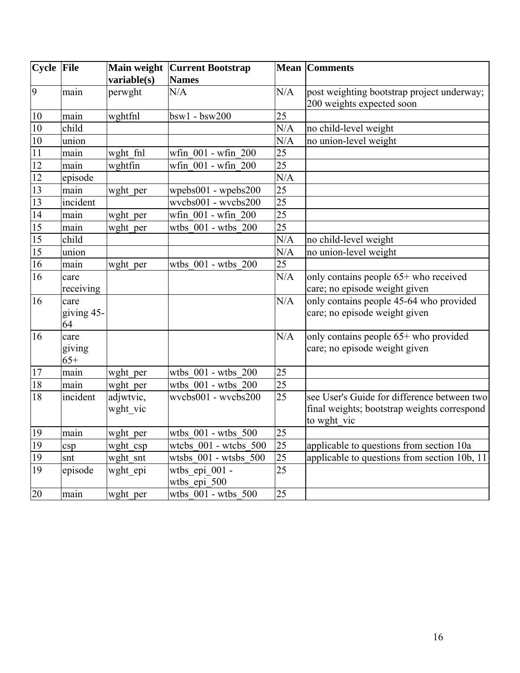| Cycle File      |                          | Main weight<br>variable(s) | <b>Current Bootstrap</b><br><b>Names</b> | <b>Mean</b>     | <b>Comments</b>                                                                                           |
|-----------------|--------------------------|----------------------------|------------------------------------------|-----------------|-----------------------------------------------------------------------------------------------------------|
| 9               | main                     | perwght                    | N/A                                      | N/A             | post weighting bootstrap project underway;<br>200 weights expected soon                                   |
| 10              | main                     | wghtfnl                    | $bsw1 - bsw200$                          | 25              |                                                                                                           |
| 10              | child                    |                            |                                          | N/A             | no child-level weight                                                                                     |
| 10              | union                    |                            |                                          | N/A             | no union-level weight                                                                                     |
| 11              | main                     | wght fnl                   | wfin 001 - wfin 200                      | 25              |                                                                                                           |
| 12              | main                     | wghtfin                    | wfin 001 - wfin 200                      | $\overline{25}$ |                                                                                                           |
| 12              | episode                  |                            |                                          | N/A             |                                                                                                           |
| $\overline{13}$ | main                     | wght per                   | wpebs001 - wpebs200                      | 25              |                                                                                                           |
| $\overline{13}$ | incident                 |                            | wycbs001 - wycbs200                      | $\overline{25}$ |                                                                                                           |
| $\overline{14}$ | main                     | wght_per                   | wfin 001 - wfin 200                      | $\overline{25}$ |                                                                                                           |
| 15              | main                     | wght per                   | wtbs 001 - wtbs 200                      | 25              |                                                                                                           |
| $\overline{15}$ | child                    |                            |                                          | N/A             | no child-level weight                                                                                     |
| $\overline{15}$ | union                    |                            |                                          | N/A             | no union-level weight                                                                                     |
| $\overline{16}$ | main                     | wght per                   | wtbs 001 - wtbs 200                      | $\overline{25}$ |                                                                                                           |
| 16              | care<br>receiving        |                            |                                          | N/A             | $\overline{0}$ contains people 65+ who received<br>care; no episode weight given                          |
| 16              | care<br>giving 45-<br>64 |                            |                                          | N/A             | only contains people 45-64 who provided<br>care; no episode weight given                                  |
| 16              | care<br>giving<br>$65+$  |                            |                                          | N/A             | only contains people 65+ who provided<br>care; no episode weight given                                    |
| 17              | main                     | wght per                   | wtbs 001 - wtbs 200                      | 25              |                                                                                                           |
| $\overline{18}$ | main                     | wght per                   | wtbs 001 - wtbs 200                      | 25              |                                                                                                           |
| $\overline{18}$ | incident                 | adjwtvic,<br>wght vic      | wvcbs001 - wvcbs200                      | $\overline{25}$ | see User's Guide for difference between two<br>final weights; bootstrap weights correspond<br>to wght vic |
| 19              | main                     | wght per                   | wtbs 001 - wtbs 500                      | 25              |                                                                                                           |
| $\overline{19}$ | csp                      | wght_csp                   | wtcbs 001 - wtcbs 500                    | 25              | applicable to questions from section 10a                                                                  |
| 19              | snt                      | wght snt                   | wtsbs 001 - wtsbs 500                    | 25              | applicable to questions from section 10b, 11                                                              |
| 19              | episode                  | wght epi                   | wtbs epi 001 -<br>wtbs_epi_500           | 25              |                                                                                                           |
| 20              | main                     | wght per                   | wtbs 001 - wtbs 500                      | 25              |                                                                                                           |